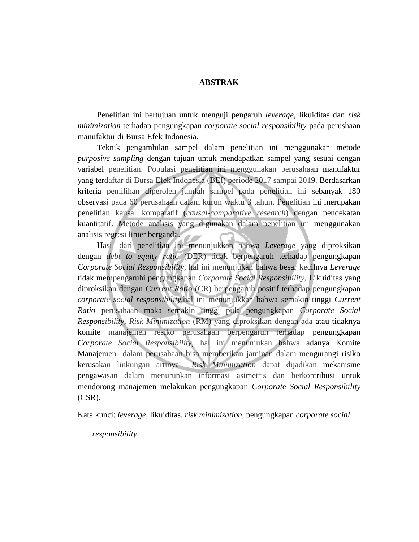## **ABSTRAK**

Penelitian ini bertujuan untuk menguji pengaruh *leverage*, likuiditas dan *risk minimization* terhadap pengungkapan *corporate social responsibility* pada perushaan manufaktur di Bursa Efek Indonesia.

Teknik pengambilan sampel dalam penelitian ini menggunakan metode *purposive sampling* dengan tujuan untuk mendapatkan sampel yang sesuai dengan variabel penelitian. Populasi penelitian ini menggunakan perusahaan manufaktur yang terdaftar di Bursa Efek Indonesia (BEI) periode 2017 sampai 2019. Berdasarkan kriteria pemilihan diperoleh jumlah sampel pada penelitian ini sebanyak 180 observasi pada 60 perusahaan dalam kurun waktu 3 tahun. Penelitian ini merupakan penelitian kausal komparatif (*causal-comparative research*) dengan pendekatan kuantitatif. Metode analisis yang digunakan dalam penelitian ini menggunakan analisis regresi linier berganda.

Hasil dari penelitian ini menunjukkan bahwa *Leverage* yang diproksikan dengan *debt to equity ratio* (DER) tidak berpengaruh terhadap pengungkapan *Corporate Social Responsibility*, hal ini menunjukan bahwa besar kecilnya *Leverage*  tidak mempengaruhi pengungkapan *Corporate Social Responsibility*, Likuiditas yang diproksikan dengan C*urrent Ratio* (CR) berpengaruh positif terhadap pengungkapan *corporate social responsibility,*hal ini menunjukkan bahwa semakin tinggi *Current Ratio* perusahaan maka semakin tinggi pula pengungkapan *Corporate Social Responsibility*, *Risk Minimization* (RM) yang diproksikan dengan ada atau tidaknya komite manajemen resiko perusahaan berpengaruh terhadap pengungkapan *Corporate Social Responsibility,* hal ini menunjukan bahwa adanya Komite Manajemen dalam perusahaan bisa memberikan jaminan dalam mengurangi risiko kerusakan linkungan artinya *Risk Minimization* dapat dijadikan mekanisme pengawasan dalam menurunkan informasi asimetris dan berkontribusi untuk mendorong manajemen melakukan pengungkapan *Corporate Social Responsibility* (CSR).

Kata kunci: *leverage*, likuiditas, *risk minimization*, pengungkapan *corporate social* 

*responsibility*.